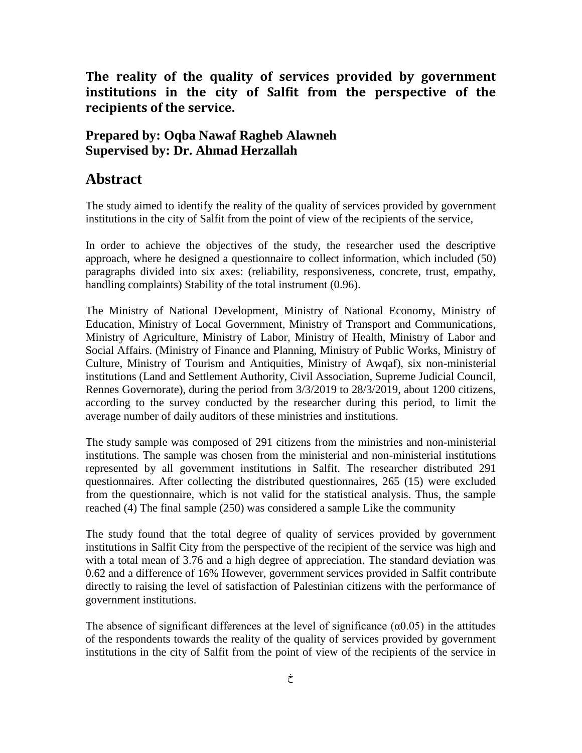**The reality of the quality of services provided by government institutions in the city of Salfit from the perspective of the recipients of the service.**

## **Prepared by: Oqba Nawaf Ragheb Alawneh Supervised by: Dr. Ahmad Herzallah**

## **Abstract**

The study aimed to identify the reality of the quality of services provided by government institutions in the city of Salfit from the point of view of the recipients of the service,

In order to achieve the objectives of the study, the researcher used the descriptive approach, where he designed a questionnaire to collect information, which included (50) paragraphs divided into six axes: (reliability, responsiveness, concrete, trust, empathy, handling complaints) Stability of the total instrument (0.96).

The Ministry of National Development, Ministry of National Economy, Ministry of Education, Ministry of Local Government, Ministry of Transport and Communications, Ministry of Agriculture, Ministry of Labor, Ministry of Health, Ministry of Labor and Social Affairs. (Ministry of Finance and Planning, Ministry of Public Works, Ministry of Culture, Ministry of Tourism and Antiquities, Ministry of Awqaf), six non-ministerial institutions (Land and Settlement Authority, Civil Association, Supreme Judicial Council, Rennes Governorate), during the period from 3/3/2019 to 28/3/2019, about 1200 citizens, according to the survey conducted by the researcher during this period, to limit the average number of daily auditors of these ministries and institutions.

The study sample was composed of 291 citizens from the ministries and non-ministerial institutions. The sample was chosen from the ministerial and non-ministerial institutions represented by all government institutions in Salfit. The researcher distributed 291 questionnaires. After collecting the distributed questionnaires, 265 (15) were excluded from the questionnaire, which is not valid for the statistical analysis. Thus, the sample reached (4) The final sample (250) was considered a sample Like the community

The study found that the total degree of quality of services provided by government institutions in Salfit City from the perspective of the recipient of the service was high and with a total mean of 3.76 and a high degree of appreciation. The standard deviation was 0.62 and a difference of 16% However, government services provided in Salfit contribute directly to raising the level of satisfaction of Palestinian citizens with the performance of government institutions.

The absence of significant differences at the level of significance  $(\alpha 0.05)$  in the attitudes of the respondents towards the reality of the quality of services provided by government institutions in the city of Salfit from the point of view of the recipients of the service in